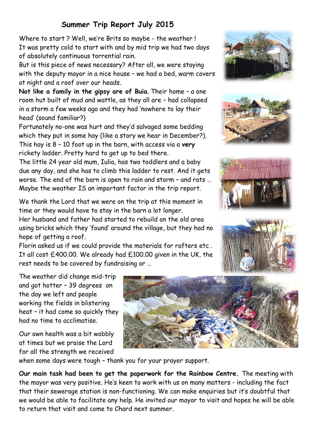## **Summer Trip Report July 2015**

Where to start ? Well, we're Brits so maybe - the weather ! It was pretty cold to start with and by mid trip we had two days of absolutely continuous torrential rain.

But is this piece of news necessary? After all, we were staying with the deputy mayor in a nice house – we had a bed, warm covers at night and a roof over our heads.

**Not like a family in the gipsy are of Buia**. Their home – a one room hut built of mud and wattle, as they all are – had collapsed in a storm a few weeks ago and they had 'nowhere to lay their head' (sound familiar?)

Fortunately no-one was hurt and they'd salvaged some bedding which they put in some hay (like a story we hear in December?). This hay is 8 – 10 foot up in the barn, with access via a **very**  rickety ladder. Pretty hard to get up to bed there.

The little 24 year old mum, Iulia, has two toddlers and a baby due any day, and she has to climb this ladder to rest. And it gets worse. The end of the barn is open to rain and storm – and rats … Maybe the weather IS an important factor in the trip report.

We thank the Lord that we were on the trip at this moment in time or they would have to stay in the barn a lot longer.

Her husband and father had started to rebuild on the old area using bricks which they 'found' around the village, but they had no hope of getting a roof.

Florin asked us if we could provide the materials for rafters etc . It all cost £400.00. We already had £100.00 given in the UK, the rest needs to be covered by fundraising or …









The weather did change mid-trip and got hotter – 39 degrees on the day we left and people working the fields in blistering heat – it had come so quickly they had no time to acclimatise.

Our own health was a bit wobbly at times but we praise the Lord for all the strength we received



when some days were tough – thank you for your prayer support.

**Our main task had been to get the paperwork for the Rainbow Centre.** The meeting with the mayor was very positive. He's keen to work with us on many matters - including the fact that their sewerage station is non-functioning. We can make enquiries but it's doubtful that we would be able to facilitate any help. He invited our mayor to visit and hopes he will be able to return that visit and come to Chard next summer.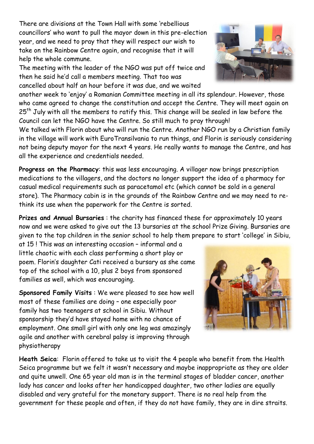There are divisions at the Town Hall with some 'rebellious councillors' who want to pull the mayor down in this pre-election year, and we need to pray that they will respect our wish to take on the Rainbow Centre again, and recognise that it will help the whole commune.

The meeting with the leader of the NGO was put off twice and then he said he'd call a members meeting. That too was cancelled about half an hour before it was due, and we waited

another week to 'enjoy' a Romanian Committee meeting in all its splendour. However, those who came agreed to change the constitution and accept the Centre. They will meet again on  $25<sup>th</sup>$  July with all the members to ratify this. This change will be sealed in law before the Council can let the NGO have the Centre. So still much to pray through!

We talked with Florin about who will run the Centre. Another NGO run by a Christian family in the village will work with EuroTransilvania to run things, and Florin is seriously considering not being deputy mayor for the next 4 years. He really wants to manage the Centre, and has all the experience and credentials needed.

**Progress on the Pharmacy**: this was less encouraging. A villager now brings prescription medications to the villagers, and the doctors no longer support the idea of a pharmacy for casual medical requirements such as paracetamol etc (which cannot be sold in a general store). The Pharmacy cabin is in the grounds of the Rainbow Centre and we may need to rethink its use when the paperwork for the Centre is sorted.

**Prizes and Annual Bursaries** : the charity has financed these for approximately 10 years now and we were asked to give out the 13 bursaries at the school Prize Giving. Bursaries are given to the top children in the senior school to help them prepare to start 'college' in Sibiu,

at 15 ! This was an interesting occasion – informal and a little chaotic with each class performing a short play or poem. Florin's daughter Cati received a bursary as she came top of the school with a 10, plus 2 boys from sponsored families as well, which was encouraging.

**Sponsored Family Visits** : We were pleased to see how well most of these families are doing – one especially poor family has two teenagers at school in Sibiu. Without sponsorship they'd have stayed home with no chance of employment. One small girl with only one leg was amazingly agile and another with cerebral palsy is improving through physiotherapy

**Heath Seica**: Florin offered to take us to visit the 4 people who benefit from the Health Seica programme but we felt it wasn't necessary and maybe inappropriate as they are older and quite unwell. One 65 year old man is in the terminal stages of bladder cancer, another lady has cancer and looks after her handicapped daughter, two other ladies are equally disabled and very grateful for the monetary support. There is no real help from the government for these people and often, if they do not have family, they are in dire straits.



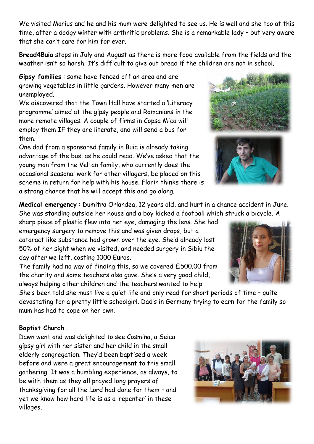We visited Marius and he and his mum were delighted to see us. He is well and she too at this time, after a dodgy winter with arthritic problems. She is a remarkable lady – but very aware that she can't care for him for ever.

**Bread4Buia** stops in July and August as there is more food available from the fields and the weather isn't so harsh. It's difficult to give out bread if the children are not in school.

**Gipsy families** : some have fenced off an area and are growing vegetables in little gardens. However many men are unemployed.

We discovered that the Town Hall have started a 'Literacy programme' aimed at the gipsy people and Romanians in the more remote villages. A couple of firms in Copsa Mica will employ them IF they are literate, and will send a bus for them.

One dad from a sponsored family in Buia is already taking advantage of the bus, as he could read. We've asked that the young man from the Veltan family, who currently does the occasional seasonal work for other villagers, be placed on this scheme in return for help with his house. Florin thinks there is a strong chance that he will accept this and go along.

**Medical emergency** : Dumitra Orlandea, 12 years old, and hurt in a chance accident in June. She was standing outside her house and a boy kicked a football which struck a bicycle. A

sharp piece of plastic flew into her eye, damaging the lens. She had emergency surgery to remove this and was given drops, but a cataract like substance had grown over the eye. She'd already lost 50% of her sight when we visited, and needed surgery in Sibiu the day after we left, costing 1000 Euros.

The family had no way of finding this, so we covered £500.00 from the charity and some teachers also gave. She's a very good child, always helping other children and the teachers wanted to help.

She's been told she must live a quiet life and only read for short periods of time – quite devastating for a pretty little schoolgirl. Dad's in Germany trying to earn for the family so mum has had to cope on her own.

## **Baptist Church** :

Dawn went and was delighted to see Cosmina, a Seica gipsy girl with her sister and her child in the small elderly congregation. They'd been baptised a week before and were a great encouragement to this small gathering. It was a humbling experience, as always, to be with them as they **all** prayed long prayers of thanksgiving for all the Lord had done for them – and yet we know how hard life is as a 'repenter' in these villages.